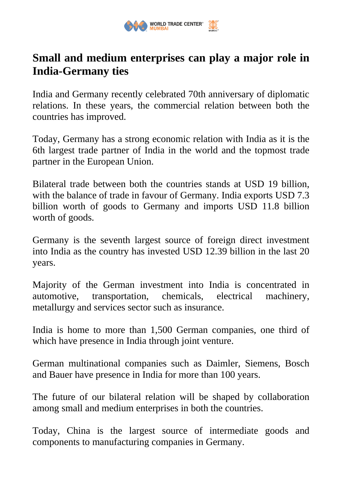

## **Small and medium enterprises can play a major role in India-Germany ties**

India and Germany recently celebrated 70th anniversary of diplomatic relations. In these years, the commercial relation between both the countries has improved.

Today, Germany has a strong economic relation with India as it is the 6th largest trade partner of India in the world and the topmost trade partner in the European Union.

Bilateral trade between both the countries stands at USD 19 billion, with the balance of trade in favour of Germany. India exports USD 7.3 billion worth of goods to Germany and imports USD 11.8 billion worth of goods.

Germany is the seventh largest source of foreign direct investment into India as the country has invested USD 12.39 billion in the last 20 years.

Majority of the German investment into India is concentrated in automotive, transportation, chemicals, electrical machinery, metallurgy and services sector such as insurance.

India is home to more than 1,500 German companies, one third of which have presence in India through joint venture.

German multinational companies such as Daimler, Siemens, Bosch and Bauer have presence in India for more than 100 years.

The future of our bilateral relation will be shaped by collaboration among small and medium enterprises in both the countries.

Today, China is the largest source of intermediate goods and components to manufacturing companies in Germany.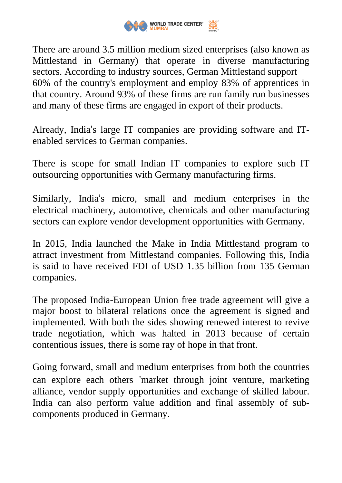

There are around 3.5 million medium sized enterprises (also known as Mittlestand in Germany) that operate in diverse manufacturing sectors. According to industry sources, German Mittlestand support 60% of the country's employment and employ 83% of apprentices in that country. Around 93% of these firms are run family run businesses and many of these firms are engaged in export of their products.

Already, India's large IT companies are providing software and ITenabled services to German companies.

There is scope for small Indian IT companies to explore such IT outsourcing opportunities with Germany manufacturing firms.

Similarly, India's micro, small and medium enterprises in the electrical machinery, automotive, chemicals and other manufacturing sectors can explore vendor development opportunities with Germany.

In 2015, India launched the Make in India Mittlestand program to attract investment from Mittlestand companies. Following this, India is said to have received FDI of USD 1.35 billion from 135 German companies.

The proposed India-European Union free trade agreement will give a major boost to bilateral relations once the agreement is signed and implemented. With both the sides showing renewed interest to revive trade negotiation, which was halted in 2013 because of certain contentious issues, there is some ray of hope in that front.

Going forward, small and medium enterprises from both the countries can explore each others 'market through joint venture, marketing alliance, vendor supply opportunities and exchange of skilled labour. India can also perform value addition and final assembly of subcomponents produced in Germany.